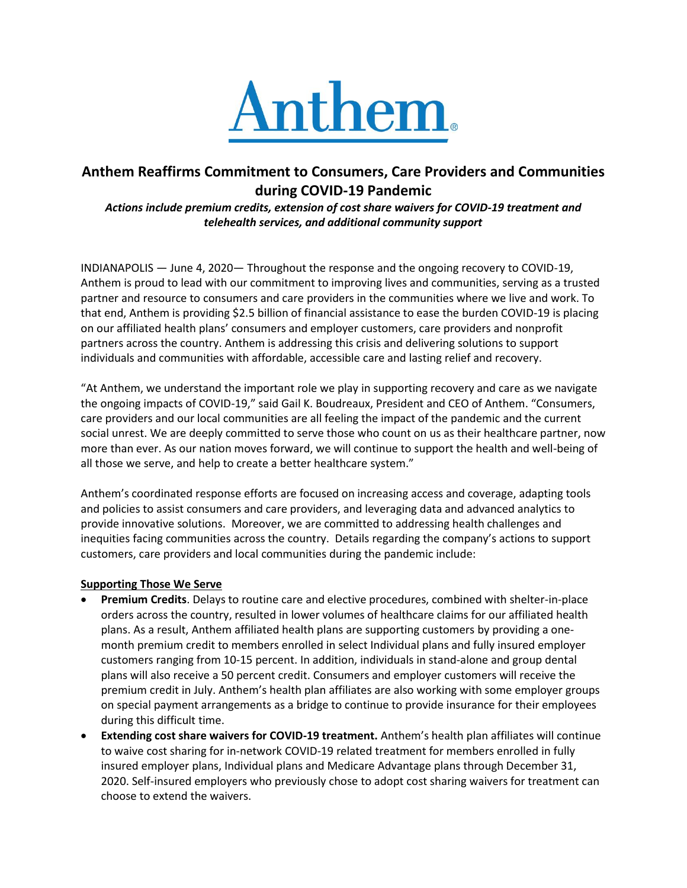

# **Anthem Reaffirms Commitment to Consumers, Care Providers and Communities during COVID-19 Pandemic**

*Actions include premium credits, extension of cost share waivers for COVID-19 treatment and telehealth services, and additional community support*

INDIANAPOLIS — June 4, 2020— Throughout the response and the ongoing recovery to COVID-19, Anthem is proud to lead with our commitment to improving lives and communities, serving as a trusted partner and resource to consumers and care providers in the communities where we live and work. To that end, Anthem is providing \$2.5 billion of financial assistance to ease the burden COVID-19 is placing on our affiliated health plans' consumers and employer customers, care providers and nonprofit partners across the country. Anthem is addressing this crisis and delivering solutions to support individuals and communities with affordable, accessible care and lasting relief and recovery.

"At Anthem, we understand the important role we play in supporting recovery and care as we navigate the ongoing impacts of COVID-19," said Gail K. Boudreaux, President and CEO of Anthem. "Consumers, care providers and our local communities are all feeling the impact of the pandemic and the current social unrest. We are deeply committed to serve those who count on us as their healthcare partner, now more than ever. As our nation moves forward, we will continue to support the health and well-being of all those we serve, and help to create a better healthcare system."

Anthem's coordinated response efforts are focused on increasing access and coverage, adapting tools and policies to assist consumers and care providers, and leveraging data and advanced analytics to provide innovative solutions. Moreover, we are committed to addressing health challenges and inequities facing communities across the country. Details regarding the company's actions to support customers, care providers and local communities during the pandemic include:

# **Supporting Those We Serve**

- **Premium Credits**. Delays to routine care and elective procedures, combined with shelter-in-place orders across the country, resulted in lower volumes of healthcare claims for our affiliated health plans. As a result, Anthem affiliated health plans are supporting customers by providing a onemonth premium credit to members enrolled in select Individual plans and fully insured employer customers ranging from 10-15 percent. In addition, individuals in stand-alone and group dental plans will also receive a 50 percent credit. Consumers and employer customers will receive the premium credit in July. Anthem's health plan affiliates are also working with some employer groups on special payment arrangements as a bridge to continue to provide insurance for their employees during this difficult time.
- **Extending cost share waivers for COVID-19 treatment.** Anthem's health plan affiliates will continue to waive cost sharing for in-network COVID-19 related treatment for members enrolled in fully insured employer plans, Individual plans and Medicare Advantage plans through December 31, 2020. Self-insured employers who previously chose to adopt cost sharing waivers for treatment can choose to extend the waivers.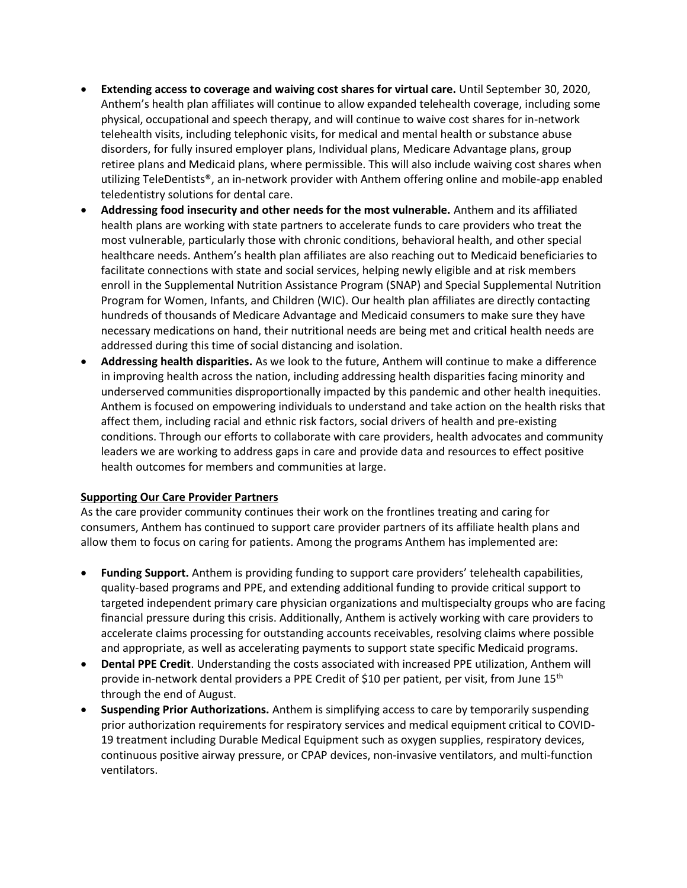- **Extending access to coverage and waiving cost shares for virtual care.** Until September 30, 2020, Anthem's health plan affiliates will continue to allow expanded telehealth coverage, including some physical, occupational and speech therapy, and will continue to waive cost shares for in-network telehealth visits, including telephonic visits, for medical and mental health or substance abuse disorders, for fully insured employer plans, Individual plans, Medicare Advantage plans, group retiree plans and Medicaid plans, where permissible. This will also include waiving cost shares when utilizing TeleDentists®, an in-network provider with Anthem offering online and mobile-app enabled teledentistry solutions for dental care.
- **Addressing food insecurity and other needs for the most vulnerable.** Anthem and its affiliated health plans are working with state partners to accelerate funds to care providers who treat the most vulnerable, particularly those with chronic conditions, behavioral health, and other special healthcare needs. Anthem's health plan affiliates are also reaching out to Medicaid beneficiaries to facilitate connections with state and social services, helping newly eligible and at risk members enroll in the Supplemental Nutrition Assistance Program (SNAP) and Special Supplemental Nutrition Program for Women, Infants, and Children (WIC). Our health plan affiliates are directly contacting hundreds of thousands of Medicare Advantage and Medicaid consumers to make sure they have necessary medications on hand, their nutritional needs are being met and critical health needs are addressed during this time of social distancing and isolation.
- **Addressing health disparities.** As we look to the future, Anthem will continue to make a difference in improving health across the nation, including addressing health disparities facing minority and underserved communities disproportionally impacted by this pandemic and other health inequities. Anthem is focused on empowering individuals to understand and take action on the health risks that affect them, including racial and ethnic risk factors, social drivers of health and pre-existing conditions. Through our efforts to collaborate with care providers, health advocates and community leaders we are working to address gaps in care and provide data and resources to effect positive health outcomes for members and communities at large.

# **Supporting Our Care Provider Partners**

As the care provider community continues their work on the frontlines treating and caring for consumers, Anthem has continued to support care provider partners of its affiliate health plans and allow them to focus on caring for patients. Among the programs Anthem has implemented are:

- **Funding Support.** Anthem is providing funding to support care providers' telehealth capabilities, quality-based programs and PPE, and extending additional funding to provide critical support to targeted independent primary care physician organizations and multispecialty groups who are facing financial pressure during this crisis. Additionally, Anthem is actively working with care providers to accelerate claims processing for outstanding accounts receivables, resolving claims where possible and appropriate, as well as accelerating payments to support state specific Medicaid programs.
- **Dental PPE Credit**. Understanding the costs associated with increased PPE utilization, Anthem will provide in-network dental providers a PPE Credit of \$10 per patient, per visit, from June 15<sup>th</sup> through the end of August.
- **Suspending Prior Authorizations.** Anthem is simplifying access to care by temporarily suspending prior authorization requirements for respiratory services and medical equipment critical to COVID-19 treatment including Durable Medical Equipment such as oxygen supplies, respiratory devices, continuous positive airway pressure, or CPAP devices, non-invasive ventilators, and multi-function ventilators.